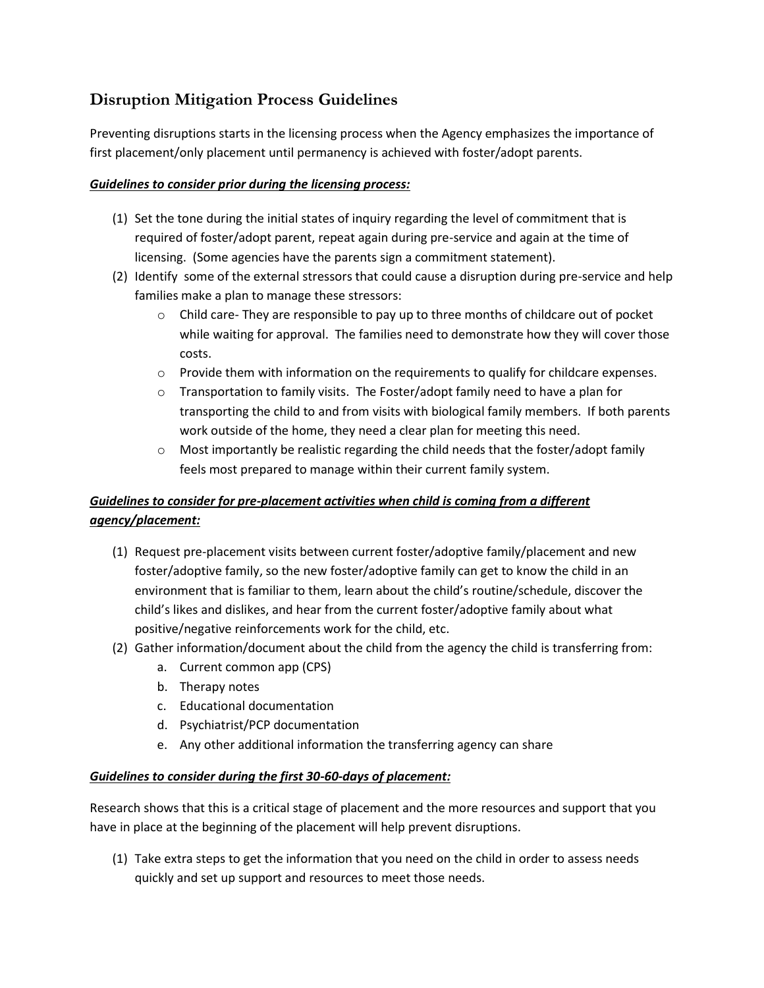# **Disruption Mitigation Process Guidelines**

Preventing disruptions starts in the licensing process when the Agency emphasizes the importance of first placement/only placement until permanency is achieved with foster/adopt parents.

### *Guidelines to consider prior during the licensing process:*

- (1) Set the tone during the initial states of inquiry regarding the level of commitment that is required of foster/adopt parent, repeat again during pre-service and again at the time of licensing. (Some agencies have the parents sign a commitment statement).
- (2) Identify some of the external stressors that could cause a disruption during pre-service and help families make a plan to manage these stressors:
	- $\circ$  Child care- They are responsible to pay up to three months of childcare out of pocket while waiting for approval. The families need to demonstrate how they will cover those costs.
	- $\circ$  Provide them with information on the requirements to qualify for childcare expenses.
	- $\circ$  Transportation to family visits. The Foster/adopt family need to have a plan for transporting the child to and from visits with biological family members. If both parents work outside of the home, they need a clear plan for meeting this need.
	- $\circ$  Most importantly be realistic regarding the child needs that the foster/adopt family feels most prepared to manage within their current family system.

## *Guidelines to consider for pre-placement activities when child is coming from a different agency/placement:*

- (1) Request pre-placement visits between current foster/adoptive family/placement and new foster/adoptive family, so the new foster/adoptive family can get to know the child in an environment that is familiar to them, learn about the child's routine/schedule, discover the child's likes and dislikes, and hear from the current foster/adoptive family about what positive/negative reinforcements work for the child, etc.
- (2) Gather information/document about the child from the agency the child is transferring from:
	- a. Current common app (CPS)
	- b. Therapy notes
	- c. Educational documentation
	- d. Psychiatrist/PCP documentation
	- e. Any other additional information the transferring agency can share

### *Guidelines to consider during the first 30-60-days of placement:*

Research shows that this is a critical stage of placement and the more resources and support that you have in place at the beginning of the placement will help prevent disruptions.

(1) Take extra steps to get the information that you need on the child in order to assess needs quickly and set up support and resources to meet those needs.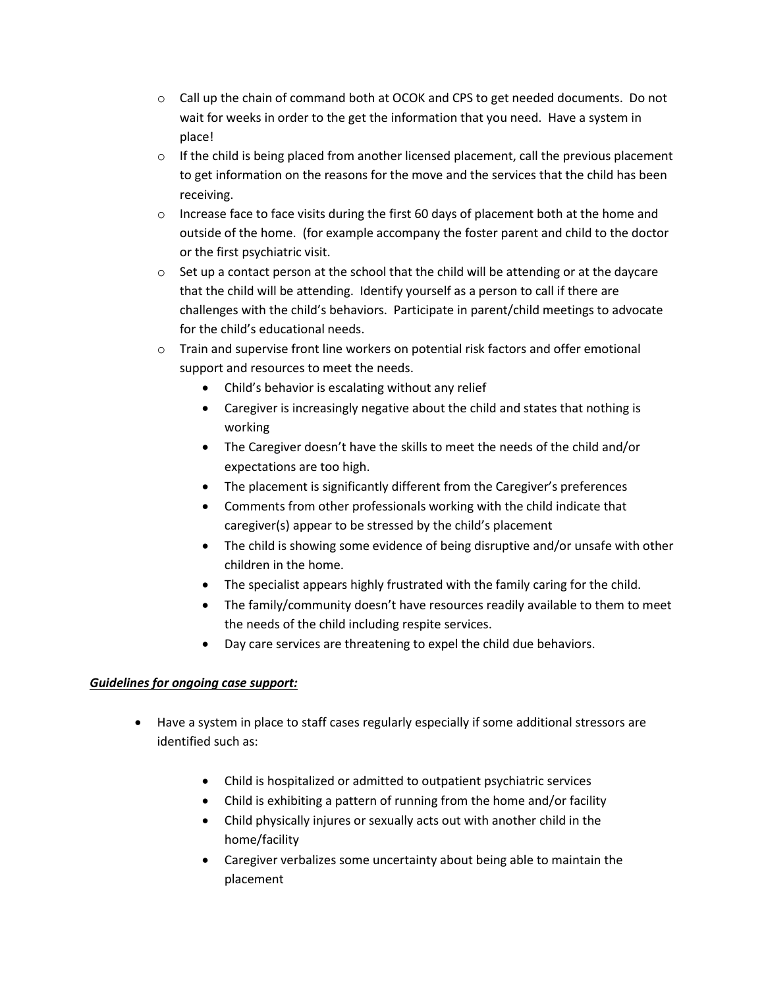- $\circ$  Call up the chain of command both at OCOK and CPS to get needed documents. Do not wait for weeks in order to the get the information that you need. Have a system in place!
- $\circ$  If the child is being placed from another licensed placement, call the previous placement to get information on the reasons for the move and the services that the child has been receiving.
- $\circ$  Increase face to face visits during the first 60 days of placement both at the home and outside of the home. (for example accompany the foster parent and child to the doctor or the first psychiatric visit.
- $\circ$  Set up a contact person at the school that the child will be attending or at the daycare that the child will be attending. Identify yourself as a person to call if there are challenges with the child's behaviors. Participate in parent/child meetings to advocate for the child's educational needs.
- o Train and supervise front line workers on potential risk factors and offer emotional support and resources to meet the needs.
	- Child's behavior is escalating without any relief
	- Caregiver is increasingly negative about the child and states that nothing is working
	- The Caregiver doesn't have the skills to meet the needs of the child and/or expectations are too high.
	- The placement is significantly different from the Caregiver's preferences
	- Comments from other professionals working with the child indicate that caregiver(s) appear to be stressed by the child's placement
	- The child is showing some evidence of being disruptive and/or unsafe with other children in the home.
	- The specialist appears highly frustrated with the family caring for the child.
	- The family/community doesn't have resources readily available to them to meet the needs of the child including respite services.
	- Day care services are threatening to expel the child due behaviors.

### *Guidelines for ongoing case support:*

- Have a system in place to staff cases regularly especially if some additional stressors are identified such as:
	- Child is hospitalized or admitted to outpatient psychiatric services
	- Child is exhibiting a pattern of running from the home and/or facility
	- Child physically injures or sexually acts out with another child in the home/facility
	- Caregiver verbalizes some uncertainty about being able to maintain the placement